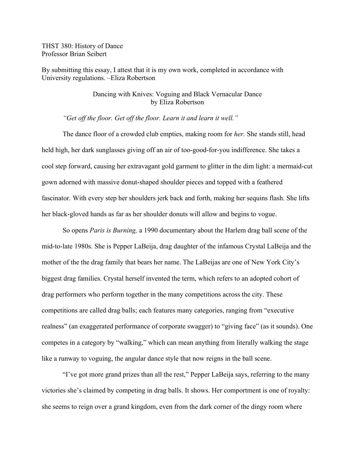THST 380: History of Dance Professor Brian Seibert

By submitting this essay, I attest that it is my own work, completed in accordance with University regulations. –Eliza Robertson

## Dancing with Knives: Voguing and Black Vernacular Dance by Eliza Robertson

# *"Get off the floor. Get off the floor. Learn it and learn it well."*

The dance floor of a crowded club empties, making room for *her.* She stands still, head held high, her dark sunglasses giving off an air of too-good-for-you indifference. She takes a cool step forward, causing her extravagant gold garment to glitter in the dim light: a mermaid-cut gown adorned with massive donut-shaped shoulder pieces and topped with a feathered fascinator. With every step her shoulders jerk back and forth, making her sequins flash. She lifts her black-gloved hands as far as her shoulder donuts will allow and begins to vogue.

So opens *Paris is Burning,* a 1990 documentary about the Harlem drag ball scene of the mid-to-late 1980s. She is Pepper LaBeija, drag daughter of the infamous Crystal LaBeija and the mother of the the drag family that bears her name. The LaBeijas are one of New York City's biggest drag families. Crystal herself invented the term, which refers to an adopted cohort of drag performers who perform together in the many competitions across the city. These competitions are called drag balls; each features many categories, ranging from "executive realness" (an exaggerated performance of corporate swagger) to "giving face" (as it sounds). One competes in a category by "walking," which can mean anything from literally walking the stage like a runway to voguing, the angular dance style that now reigns in the ball scene.

"I've got more grand prizes than all the rest," Pepper LaBeija says, referring to the many victories she's claimed by competing in drag balls. It shows. Her comportment is one of royalty: she seems to reign over a grand kingdom, even from the dark corner of the dingy room where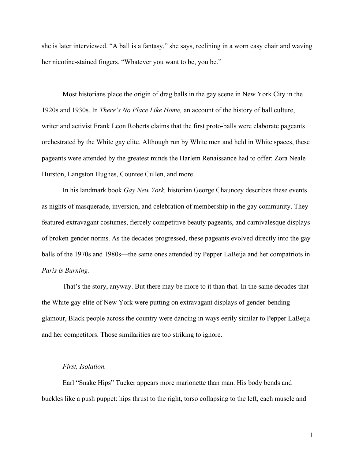she is later interviewed. "A ball is a fantasy," she says, reclining in a worn easy chair and waving her nicotine-stained fingers. "Whatever you want to be, you be."

Most historians place the origin of drag balls in the gay scene in New York City in the 1920s and 1930s. In *There's No Place Like Home,* an account of the history of ball culture, writer and activist Frank Leon Roberts claims that the first proto-balls were elaborate pageants orchestrated by the White gay elite. Although run by White men and held in White spaces, these pageants were attended by the greatest minds the Harlem Renaissance had to offer: Zora Neale Hurston, Langston Hughes, Countee Cullen, and more.

In his landmark book *Gay New York,* historian George Chauncey describes these events as nights of masquerade, inversion, and celebration of membership in the gay community. They featured extravagant costumes, fiercely competitive beauty pageants, and carnivalesque displays of broken gender norms. As the decades progressed, these pageants evolved directly into the gay balls of the 1970s and 1980s—the same ones attended by Pepper LaBeija and her compatriots in *Paris is Burning.*

That's the story, anyway. But there may be more to it than that. In the same decades that the White gay elite of New York were putting on extravagant displays of gender-bending glamour, Black people across the country were dancing in ways eerily similar to Pepper LaBeija and her competitors. Those similarities are too striking to ignore.

### *First, Isolation.*

Earl "Snake Hips" Tucker appears more marionette than man. His body bends and buckles like a push puppet: hips thrust to the right, torso collapsing to the left, each muscle and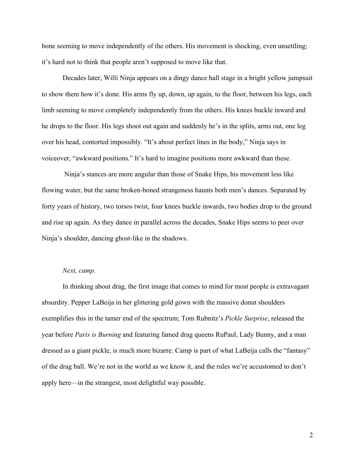bone seeming to move independently of the others. His movement is shocking, even unsettling; it's hard not to think that people aren't supposed to move like that.

Decades later, Willi Ninja appears on a dingy dance hall stage in a bright yellow jumpsuit to show them how it's done. His arms fly up, down, up again, to the floor, between his legs, each limb seeming to move completely independently from the others. His knees buckle inward and he drops to the floor. His legs shoot out again and suddenly he's in the splits, arms out, one leg over his head, contorted impossibly. "It's about perfect lines in the body," Ninja says in voiceover, "awkward positions." It's hard to imagine positions more awkward than these.

Ninja's stances are more angular than those of Snake Hips, his movement less like flowing water, but the same broken-boned strangeness haunts both men's dances. Separated by forty years of history, two torsos twist, four knees buckle inwards, two bodies drop to the ground and rise up again. As they dance in parallel across the decades, Snake Hips seems to peer over Ninja's shoulder, dancing ghost-like in the shadows.

## *Next, camp.*

In thinking about drag, the first image that comes to mind for most people is extravagant absurdity. Pepper LaBeija in her glittering gold gown with the massive donut shoulders exemplifies this in the tamer end of the spectrum; Tom Rubnitz's *Pickle Surprise*, released the year before *Paris is Burning* and featuring famed drag queens RuPaul, Lady Bunny, and a man dressed as a giant pickle, is much more bizarre. Camp is part of what LaBeija calls the "fantasy" of the drag ball. We're not in the world as we know it, and the rules we're accustomed to don't apply here—in the strangest, most delightful way possible.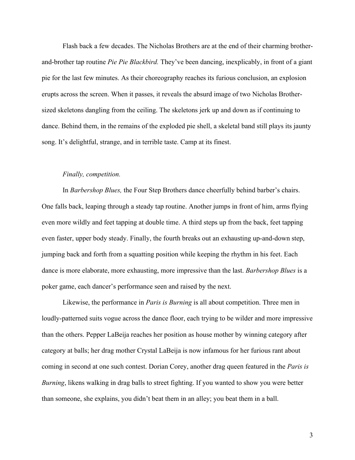Flash back a few decades. The Nicholas Brothers are at the end of their charming brotherand-brother tap routine *Pie Pie Blackbird.* They've been dancing, inexplicably, in front of a giant pie for the last few minutes. As their choreography reaches its furious conclusion, an explosion erupts across the screen. When it passes, it reveals the absurd image of two Nicholas Brothersized skeletons dangling from the ceiling. The skeletons jerk up and down as if continuing to dance. Behind them, in the remains of the exploded pie shell, a skeletal band still plays its jaunty song. It's delightful, strange, and in terrible taste. Camp at its finest.

### *Finally, competition.*

In *Barbershop Blues,* the Four Step Brothers dance cheerfully behind barber's chairs. One falls back, leaping through a steady tap routine. Another jumps in front of him, arms flying even more wildly and feet tapping at double time. A third steps up from the back, feet tapping even faster, upper body steady. Finally, the fourth breaks out an exhausting up-and-down step, jumping back and forth from a squatting position while keeping the rhythm in his feet. Each dance is more elaborate, more exhausting, more impressive than the last. *Barbershop Blues* is a poker game, each dancer's performance seen and raised by the next.

Likewise, the performance in *Paris is Burning* is all about competition. Three men in loudly-patterned suits vogue across the dance floor, each trying to be wilder and more impressive than the others. Pepper LaBeija reaches her position as house mother by winning category after category at balls; her drag mother Crystal LaBeija is now infamous for her furious rant about coming in second at one such contest. Dorian Corey, another drag queen featured in the *Paris is Burning*, likens walking in drag balls to street fighting. If you wanted to show you were better than someone, she explains, you didn't beat them in an alley; you beat them in a ball.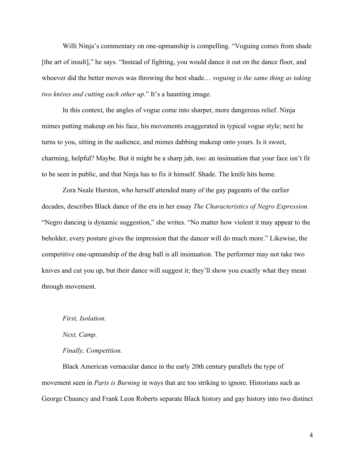Willi Ninja's commentary on one-upmanship is compelling. "Voguing comes from shade [the art of insult]," he says. "Instead of fighting, you would dance it out on the dance floor, and whoever did the better moves was throwing the best shade… *voguing is the same thing as taking two knives and cutting each other up*." It's a haunting image.

In this context, the angles of vogue come into sharper, more dangerous relief. Ninja mimes putting makeup on his face, his movements exaggerated in typical vogue style; next he turns to you, sitting in the audience, and mimes dabbing makeup onto yours. Is it sweet, charming, helpful? Maybe. But it might be a sharp jab, too: an insinuation that your face isn't fit to be seen in public, and that Ninja has to fix it himself. Shade. The knife hits home.

Zora Neale Hurston, who herself attended many of the gay pageants of the earlier decades, describes Black dance of the era in her essay *The Characteristics of Negro Expression.* "Negro dancing is dynamic suggestion," she writes. "No matter how violent it may appear to the beholder, every posture gives the impression that the dancer will do much more." Likewise, the competitive one-upmanship of the drag ball is all insinuation. The performer may not take two knives and cut you up, but their dance will suggest it; they'll show you exactly what they mean through movement.

### *First, Isolation.*

*Next, Camp.* 

### *Finally, Competition.*

Black American vernacular dance in the early 20th century parallels the type of movement seen in *Paris is Burning* in ways that are too striking to ignore. Historians such as George Chauncy and Frank Leon Roberts separate Black history and gay history into two distinct